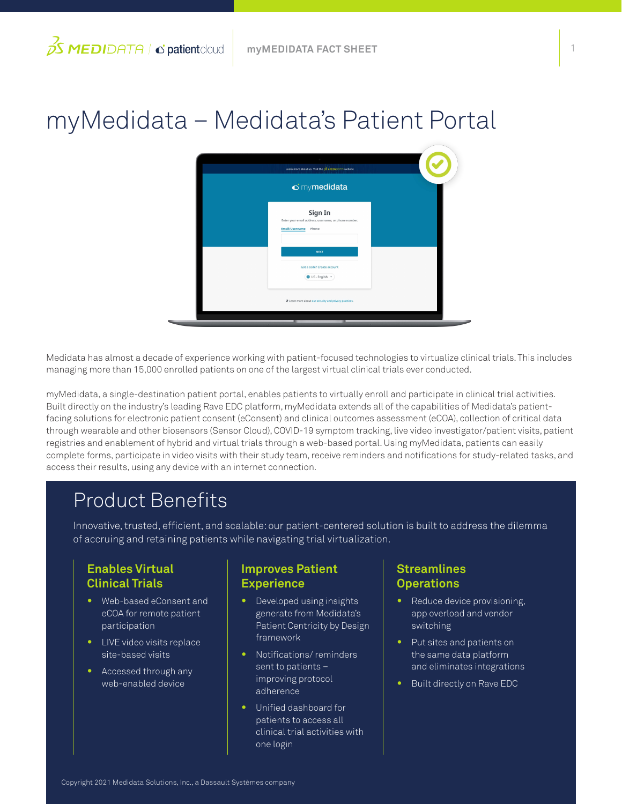# myMedidata – Medidata's Patient Portal



Medidata has almost a decade of experience working with patient-focused technologies to virtualize clinical trials. This includes managing more than 15,000 enrolled patients on one of the largest virtual clinical trials ever conducted.

myMedidata, a single-destination patient portal, enables patients to virtually enroll and participate in clinical trial activities. Built directly on the industry's leading Rave EDC platform, myMedidata extends all of the capabilities of Medidata's patientfacing solutions for electronic patient consent (eConsent) and clinical outcomes assessment (eCOA), collection of critical data through wearable and other biosensors (Sensor Cloud), COVID-19 symptom tracking, live video investigator/patient visits, patient registries and enablement of hybrid and virtual trials through a web-based portal. Using myMedidata, patients can easily complete forms, participate in video visits with their study team, receive reminders and notifications for study-related tasks, and access their results, using any device with an internet connection.

# Product Benefits

Innovative, trusted, efficient, and scalable: our patient-centered solution is built to address the dilemma of accruing and retaining patients while navigating trial virtualization.

## **Enables Virtual Clinical Trials**

- **•** Web-based eConsent and eCOA for remote patient participation
- **•** LIVE video visits replace site-based visits
- **•** Accessed through any web-enabled device

### **Improves Patient Experience**

- **•** Developed using insights generate from Medidata's Patient Centricity by Design framework
- **•** Notifications/ reminders sent to patients – improving protocol adherence
- **•** Unified dashboard for patients to access all clinical trial activities with one login

### **Streamlines Operations**

- **•** Reduce device provisioning, app overload and vendor switching
- **•** Put sites and patients on the same data platform and eliminates integrations
- **•** Built directly on Rave EDC